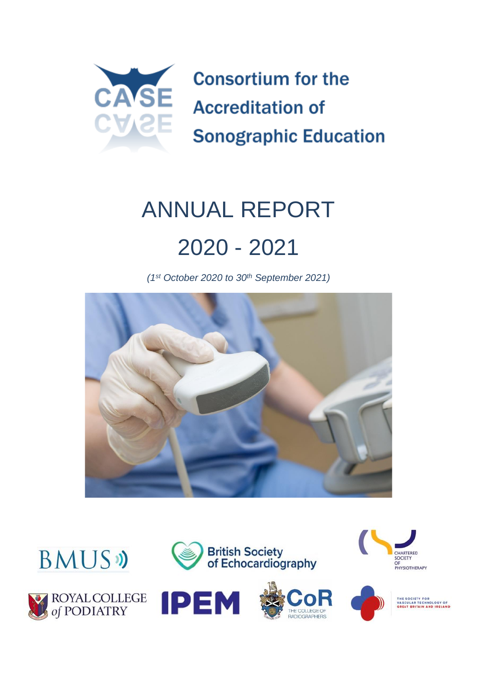

# ANNUAL REPORT 2020 - 2021

*(1st October 2020 to 30th September 2021)*













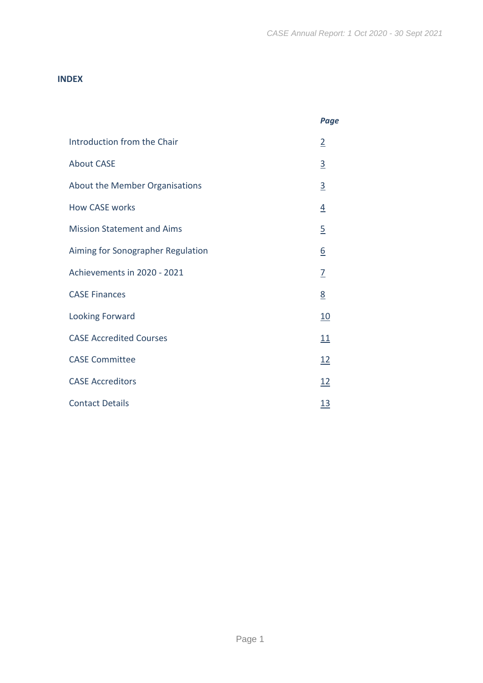#### **INDEX**

|                                   | Page            |
|-----------------------------------|-----------------|
| Introduction from the Chair       | $\overline{2}$  |
| <b>About CASE</b>                 | $\overline{3}$  |
| About the Member Organisations    | $\overline{3}$  |
| <b>How CASE works</b>             | $\overline{4}$  |
| <b>Mission Statement and Aims</b> | $\overline{5}$  |
| Aiming for Sonographer Regulation | $\underline{6}$ |
| Achievements in 2020 - 2021       | $\overline{1}$  |
| <b>CASE Finances</b>              | 8               |
| <b>Looking Forward</b>            | <u>10</u>       |
| <b>CASE Accredited Courses</b>    | 11              |
| <b>CASE Committee</b>             | 12              |
| <b>CASE Accreditors</b>           | 12              |
| <b>Contact Details</b>            | <u>13</u>       |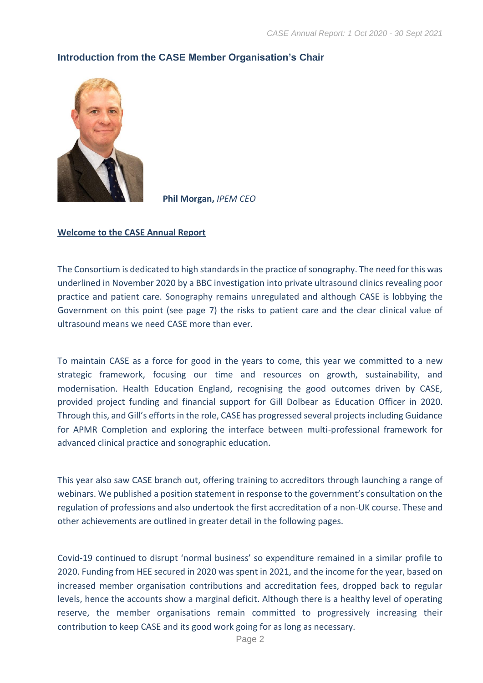

#### <span id="page-2-0"></span>**Introduction from the CASE Member Organisation's Chair**

**Phil Morgan,** *IPEM CEO*

#### **Welcome to the CASE Annual Report**

The Consortium is dedicated to high standards in the practice of sonography. The need for this was underlined in November 2020 by a BBC investigation into private ultrasound clinics revealing poor practice and patient care. Sonography remains unregulated and although CASE is lobbying the Government on this point (see page 7) the risks to patient care and the clear clinical value of ultrasound means we need CASE more than ever.

To maintain CASE as a force for good in the years to come, this year we committed to a new strategic framework, focusing our time and resources on growth, sustainability, and modernisation. Health Education England, recognising the good outcomes driven by CASE, provided project funding and financial support for Gill Dolbear as Education Officer in 2020. Through this, and Gill's efforts in the role, CASE has progressed several projects including Guidance for APMR Completion and exploring the interface between multi-professional framework for advanced clinical practice and sonographic education.

This year also saw CASE branch out, offering training to accreditors through launching a range of webinars. We published a position statement in response to the government's consultation on the regulation of professions and also undertook the first accreditation of a non-UK course. These and other achievements are outlined in greater detail in the following pages.

Covid-19 continued to disrupt 'normal business' so expenditure remained in a similar profile to 2020. Funding from HEE secured in 2020 was spent in 2021, and the income for the year, based on increased member organisation contributions and accreditation fees, dropped back to regular levels, hence the accounts show a marginal deficit. Although there is a healthy level of operating reserve, the member organisations remain committed to progressively increasing their contribution to keep CASE and its good work going for as long as necessary.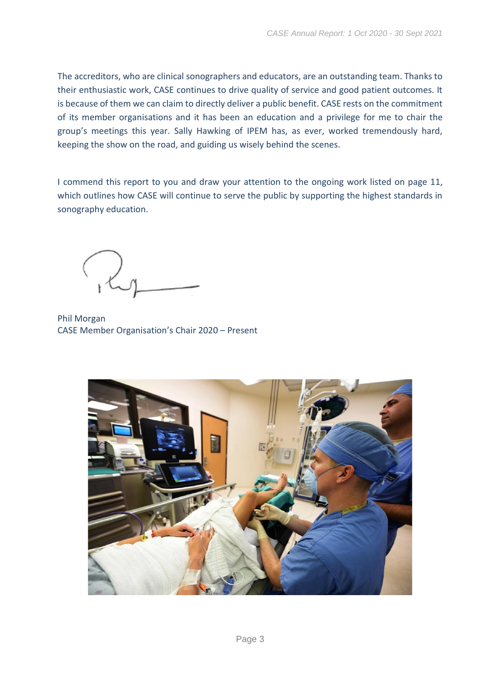The accreditors, who are clinical sonographers and educators, are an outstanding team. Thanks to their enthusiastic work, CASE continues to drive quality of service and good patient outcomes. It is because of them we can claim to directly deliver a public benefit. CASE rests on the commitment of its member organisations and it has been an education and a privilege for me to chair the group's meetings this year. Sally Hawking of IPEM has, as ever, worked tremendously hard, keeping the show on the road, and guiding us wisely behind the scenes.

I commend this report to you and draw your attention to the ongoing work listed on page 11, which outlines how CASE will continue to serve the public by supporting the highest standards in sonography education.

Phil Morgan CASE Member Organisation's Chair 2020 – Present

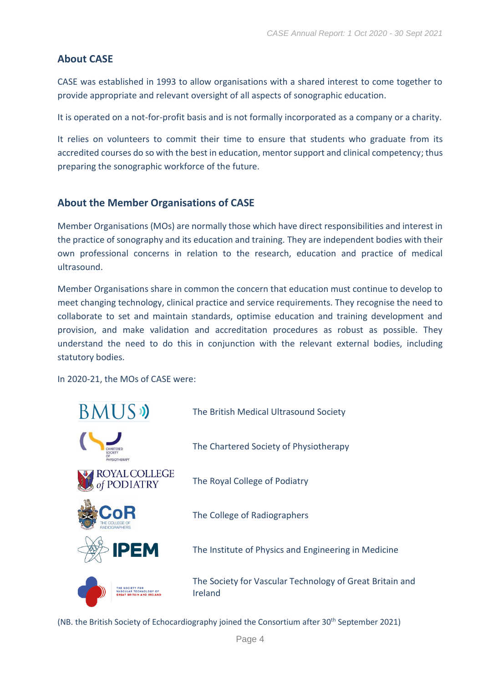# <span id="page-4-0"></span>**About CASE**

CASE was established in 1993 to allow organisations with a shared interest to come together to provide appropriate and relevant oversight of all aspects of sonographic education.

It is operated on a not-for-profit basis and is not formally incorporated as a company or a charity.

It relies on volunteers to commit their time to ensure that students who graduate from its accredited courses do so with the best in education, mentor support and clinical competency; thus preparing the sonographic workforce of the future.

## <span id="page-4-1"></span>**About the Member Organisations of CASE**

Member Organisations (MOs) are normally those which have direct responsibilities and interest in the practice of sonography and its education and training. They are independent bodies with their own professional concerns in relation to the research, education and practice of medical ultrasound.

Member Organisations share in common the concern that education must continue to develop to meet changing technology, clinical practice and service requirements. They recognise the need to collaborate to set and maintain standards, optimise education and training development and provision, and make validation and accreditation procedures as robust as possible. They understand the need to do this in conjunction with the relevant external bodies, including statutory bodies.

In 2020-21, the MOs of CASE were:

| <b>BMUS</b>                   | The British Medical Ultrasound Society                              |
|-------------------------------|---------------------------------------------------------------------|
| OCIET<br><b>PHYSIOTHERAPY</b> | The Chartered Society of Physiotherapy                              |
| LLEGE<br>IATRY                | The Royal College of Podiatry                                       |
|                               | The College of Radiographers                                        |
| <b>IPEM</b>                   | The Institute of Physics and Engineering in Medicine                |
|                               | The Society for Vascular Technology of Great Britain and<br>Ireland |

(NB. the British Society of Echocardiography joined the Consortium after 30<sup>th</sup> September 2021)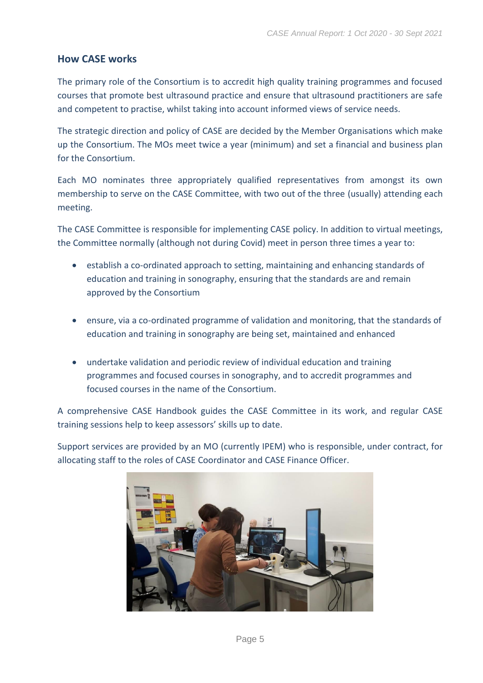# <span id="page-5-0"></span>**How CASE works**

The primary role of the Consortium is to accredit high quality training programmes and focused courses that promote best ultrasound practice and ensure that ultrasound practitioners are safe and competent to practise, whilst taking into account informed views of service needs.

The strategic direction and policy of CASE are decided by the Member Organisations which make up the Consortium. The MOs meet twice a year (minimum) and set a financial and business plan for the Consortium.

Each MO nominates three appropriately qualified representatives from amongst its own membership to serve on the CASE Committee, with two out of the three (usually) attending each meeting.

The CASE Committee is responsible for implementing CASE policy. In addition to virtual meetings, the Committee normally (although not during Covid) meet in person three times a year to:

- establish a co-ordinated approach to setting, maintaining and enhancing standards of education and training in sonography, ensuring that the standards are and remain approved by the Consortium
- ensure, via a co-ordinated programme of validation and monitoring, that the standards of education and training in sonography are being set, maintained and enhanced
- undertake validation and periodic review of individual education and training programmes and focused courses in sonography, and to accredit programmes and focused courses in the name of the Consortium.

A comprehensive CASE Handbook guides the CASE Committee in its work, and regular CASE training sessions help to keep assessors' skills up to date.

Support services are provided by an MO (currently IPEM) who is responsible, under contract, for allocating staff to the roles of CASE Coordinator and CASE Finance Officer.

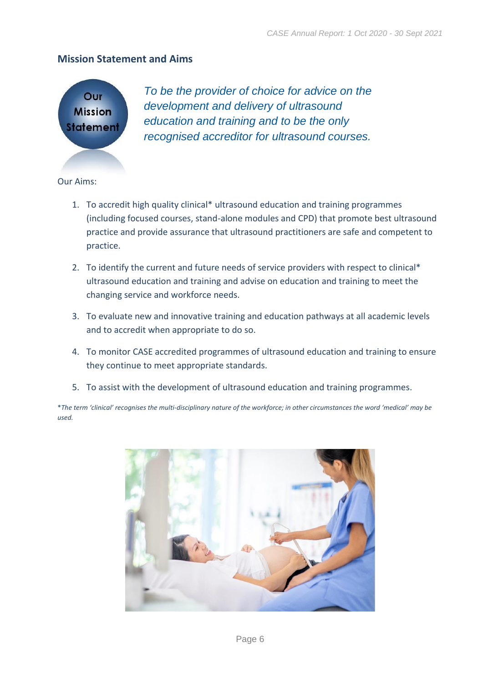#### <span id="page-6-0"></span>**Mission Statement and Aims**



*To be the provider of choice for advice on the development and delivery of ultrasound education and training and to be the only recognised accreditor for ultrasound courses.*

Our Aims:

- 1. To accredit high quality clinical\* ultrasound education and training programmes (including focused courses, stand-alone modules and CPD) that promote best ultrasound practice and provide assurance that ultrasound practitioners are safe and competent to practice.
- 2. To identify the current and future needs of service providers with respect to clinical\* ultrasound education and training and advise on education and training to meet the changing service and workforce needs.
- 3. To evaluate new and innovative training and education pathways at all academic levels and to accredit when appropriate to do so.
- 4. To monitor CASE accredited programmes of ultrasound education and training to ensure they continue to meet appropriate standards.
- 5. To assist with the development of ultrasound education and training programmes.

\**The term 'clinical' recognises the multi-disciplinary nature of the workforce; in other circumstances the word 'medical' may be used.*

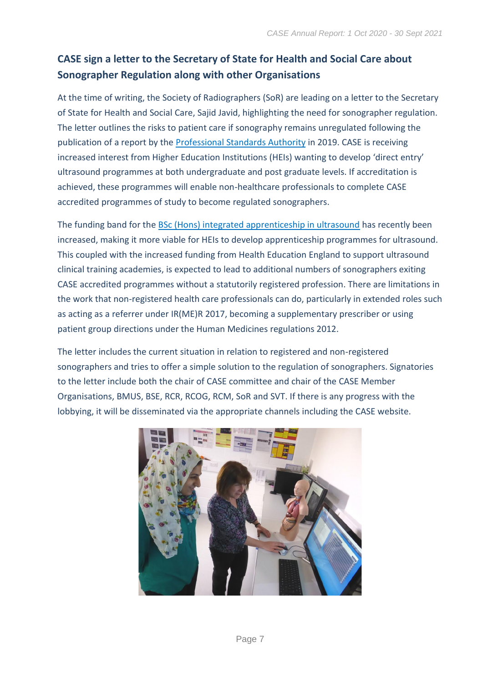# <span id="page-7-0"></span>**CASE sign a letter to the Secretary of State for Health and Social Care about Sonographer Regulation along with other Organisations**

At the time of writing, the Society of Radiographers (SoR) are leading on a letter to the Secretary of State for Health and Social Care, Sajid Javid, highlighting the need for sonographer regulation. The letter outlines the risks to patient care if sonography remains unregulated following the publication of a report by the [Professional Standards Authority](https://www.professionalstandards.org.uk/news-and-blog/latest-news/detail/2019/07/02/right-touch-assurance-assessment-for-sonographers) in 2019. CASE is receiving increased interest from Higher Education Institutions (HEIs) wanting to develop 'direct entry' ultrasound programmes at both undergraduate and post graduate levels. If accreditation is achieved, these programmes will enable non-healthcare professionals to complete CASE accredited programmes of study to become regulated sonographers.

The funding band for the [BSc \(Hons\) integrated apprenticeship in ultrasound](http://www.instituteforapprenticeships.org/apprenticeship-standards/sonographer-integrated-degree-v1-1) has recently been increased, making it more viable for HEIs to develop apprenticeship programmes for ultrasound. This coupled with the increased funding from Health Education England to support ultrasound clinical training academies, is expected to lead to additional numbers of sonographers exiting CASE accredited programmes without a statutorily registered profession. There are limitations in the work that non-registered health care professionals can do, particularly in extended roles such as acting as a referrer under IR(ME)R 2017, becoming a supplementary prescriber or using patient group directions under the Human Medicines regulations 2012.

The letter includes the current situation in relation to registered and non-registered sonographers and tries to offer a simple solution to the regulation of sonographers. Signatories to the letter include both the chair of CASE committee and chair of the CASE Member Organisations, BMUS, BSE, RCR, RCOG, RCM, SoR and SVT. If there is any progress with the lobbying, it will be disseminated via the appropriate channels including the CASE website.

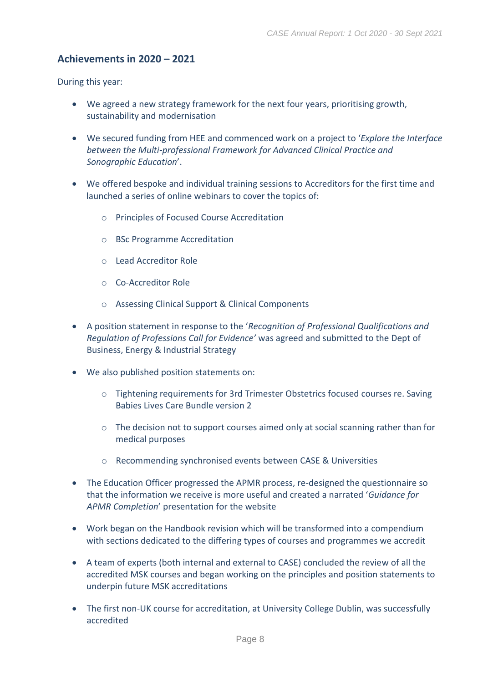#### <span id="page-8-0"></span>**Achievements in 2020 – 2021**

During this year:

- We agreed a new strategy framework for the next four years, prioritising growth, sustainability and modernisation
- We secured funding from HEE and commenced work on a project to '*Explore the Interface between the Multi-professional Framework for Advanced Clinical Practice and Sonographic Education*'.
- We offered bespoke and individual training sessions to Accreditors for the first time and launched a series of online webinars to cover the topics of:
	- o Principles of Focused Course Accreditation
	- o BSc Programme Accreditation
	- o Lead Accreditor Role
	- o Co-Accreditor Role
	- o Assessing Clinical Support & Clinical Components
- A position statement in response to the '*Recognition of Professional Qualifications and Regulation of Professions Call for Evidence'* was agreed and submitted to the Dept of Business, Energy & Industrial Strategy
- We also published position statements on:
	- o Tightening requirements for 3rd Trimester Obstetrics focused courses re. Saving Babies Lives Care Bundle version 2
	- $\circ$  The decision not to support courses aimed only at social scanning rather than for medical purposes
	- o Recommending synchronised events between CASE & Universities
- The Education Officer progressed the APMR process, re-designed the questionnaire so that the information we receive is more useful and created a narrated '*Guidance for APMR Completion*' presentation for the website
- Work began on the Handbook revision which will be transformed into a compendium with sections dedicated to the differing types of courses and programmes we accredit
- A team of experts (both internal and external to CASE) concluded the review of all the accredited MSK courses and began working on the principles and position statements to underpin future MSK accreditations
- The first non-UK course for accreditation, at University College Dublin, was successfully accredited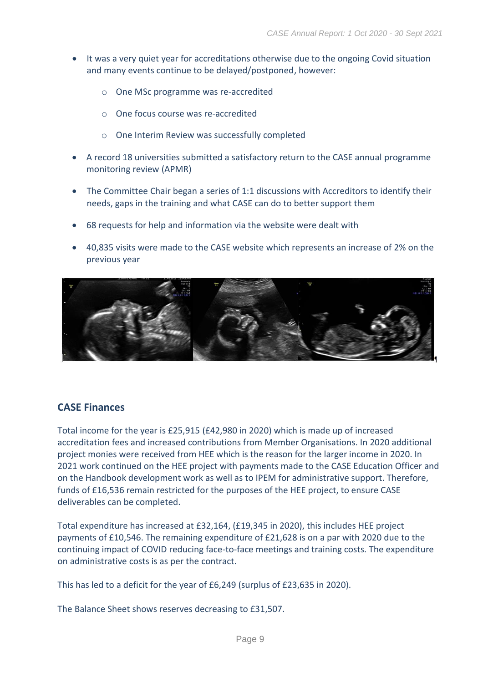- It was a very quiet year for accreditations otherwise due to the ongoing Covid situation and many events continue to be delayed/postponed, however:
	- o One MSc programme was re-accredited
	- o One focus course was re-accredited
	- o One Interim Review was successfully completed
- A record 18 universities submitted a satisfactory return to the CASE annual programme monitoring review (APMR)
- The Committee Chair began a series of 1:1 discussions with Accreditors to identify their needs, gaps in the training and what CASE can do to better support them
- 68 requests for help and information via the website were dealt with
- 40,835 visits were made to the CASE website which represents an increase of 2% on the previous year



#### <span id="page-9-0"></span>**CASE Finances**

Total income for the year is £25,915 (£42,980 in 2020) which is made up of increased accreditation fees and increased contributions from Member Organisations. In 2020 additional project monies were received from HEE which is the reason for the larger income in 2020. In 2021 work continued on the HEE project with payments made to the CASE Education Officer and on the Handbook development work as well as to IPEM for administrative support. Therefore, funds of £16,536 remain restricted for the purposes of the HEE project, to ensure CASE deliverables can be completed.

Total expenditure has increased at £32,164, (£19,345 in 2020), this includes HEE project payments of £10,546. The remaining expenditure of £21,628 is on a par with 2020 due to the continuing impact of COVID reducing face-to-face meetings and training costs. The expenditure on administrative costs is as per the contract.

This has led to a deficit for the year of £6,249 (surplus of £23,635 in 2020).

The Balance Sheet shows reserves decreasing to £31,507.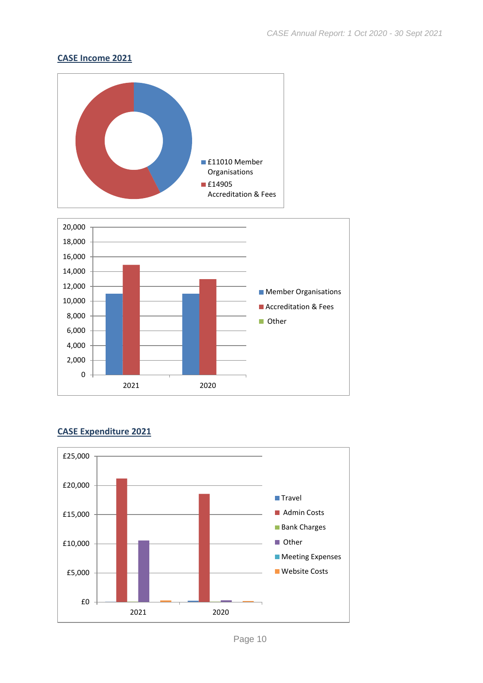#### **CASE Income 2021**



#### **CASE Expenditure 2021**

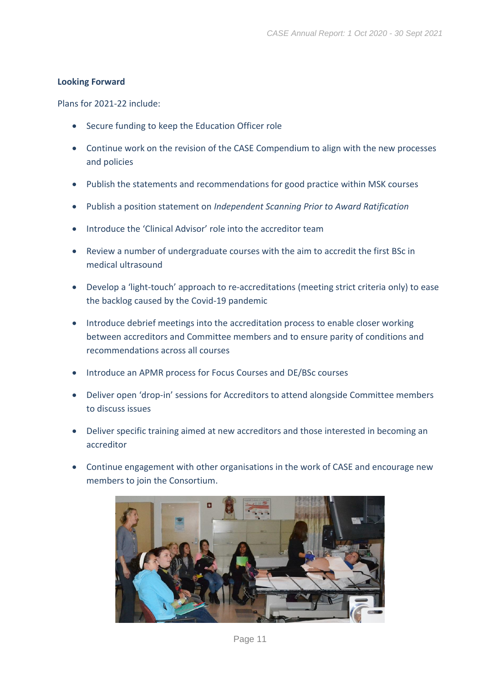#### <span id="page-11-0"></span>**Looking Forward**

Plans for 2021-22 include:

- Secure funding to keep the Education Officer role
- Continue work on the revision of the CASE Compendium to align with the new processes and policies
- Publish the statements and recommendations for good practice within MSK courses
- Publish a position statement on *Independent Scanning Prior to Award Ratification*
- Introduce the 'Clinical Advisor' role into the accreditor team
- Review a number of undergraduate courses with the aim to accredit the first BSc in medical ultrasound
- Develop a 'light-touch' approach to re-accreditations (meeting strict criteria only) to ease the backlog caused by the Covid-19 pandemic
- Introduce debrief meetings into the accreditation process to enable closer working between accreditors and Committee members and to ensure parity of conditions and recommendations across all courses
- Introduce an APMR process for Focus Courses and DE/BSc courses
- Deliver open 'drop-in' sessions for Accreditors to attend alongside Committee members to discuss issues
- Deliver specific training aimed at new accreditors and those interested in becoming an accreditor
- Continue engagement with other organisations in the work of CASE and encourage new members to join the Consortium.

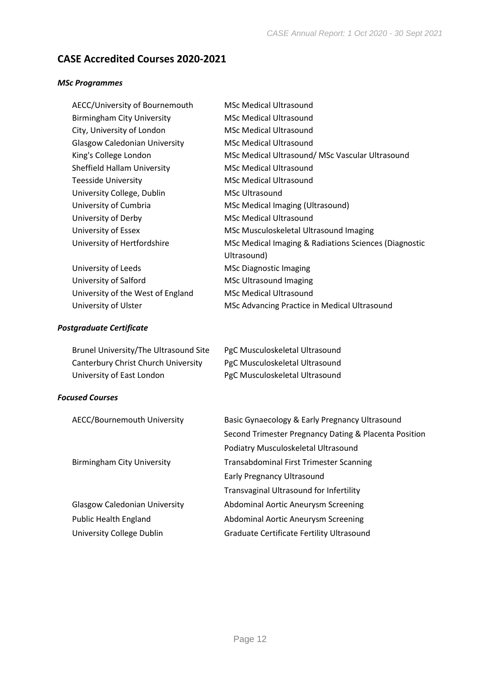# <span id="page-12-0"></span>**CASE Accredited Courses 2020-2021**

#### *MSc Programmes*

| AECC/University of Bournemouth       | <b>MSc Medical Ultrasound</b>                         |
|--------------------------------------|-------------------------------------------------------|
| <b>Birmingham City University</b>    | <b>MSc Medical Ultrasound</b>                         |
| City, University of London           | <b>MSc Medical Ultrasound</b>                         |
| <b>Glasgow Caledonian University</b> | <b>MSc Medical Ultrasound</b>                         |
| King's College London                | MSc Medical Ultrasound/ MSc Vascular Ultrasound       |
| Sheffield Hallam University          | <b>MSc Medical Ultrasound</b>                         |
| <b>Teesside University</b>           | <b>MSc Medical Ultrasound</b>                         |
| University College, Dublin           | MSc Ultrasound                                        |
| University of Cumbria                | <b>MSc Medical Imaging (Ultrasound)</b>               |
| University of Derby                  | <b>MSc Medical Ultrasound</b>                         |
| University of Essex                  | MSc Musculoskeletal Ultrasound Imaging                |
| University of Hertfordshire          | MSc Medical Imaging & Radiations Sciences (Diagnostic |
|                                      | Ultrasound)                                           |
| University of Leeds                  | MSc Diagnostic Imaging                                |
| University of Salford                | <b>MSc Ultrasound Imaging</b>                         |
| University of the West of England    | <b>MSc Medical Ultrasound</b>                         |
| University of Ulster                 | MSc Advancing Practice in Medical Ultrasound          |

#### *Postgraduate Certificate*

| Brunel University/The Ultrasound Site | PgC Musculoskeletal Ultrasound |
|---------------------------------------|--------------------------------|
| Canterbury Christ Church University   | PgC Musculoskeletal Ultrasound |
| University of East London             | PgC Musculoskeletal Ultrasound |

#### *Focused Courses*

| AECC/Bournemouth University          | Basic Gynaecology & Early Pregnancy Ultrasound        |
|--------------------------------------|-------------------------------------------------------|
|                                      | Second Trimester Pregnancy Dating & Placenta Position |
|                                      | Podiatry Musculoskeletal Ultrasound                   |
| <b>Birmingham City University</b>    | <b>Transabdominal First Trimester Scanning</b>        |
|                                      | <b>Early Pregnancy Ultrasound</b>                     |
|                                      | Transvaginal Ultrasound for Infertility               |
| <b>Glasgow Caledonian University</b> | Abdominal Aortic Aneurysm Screening                   |
| <b>Public Health England</b>         | Abdominal Aortic Aneurysm Screening                   |
| University College Dublin            | <b>Graduate Certificate Fertility Ultrasound</b>      |
|                                      |                                                       |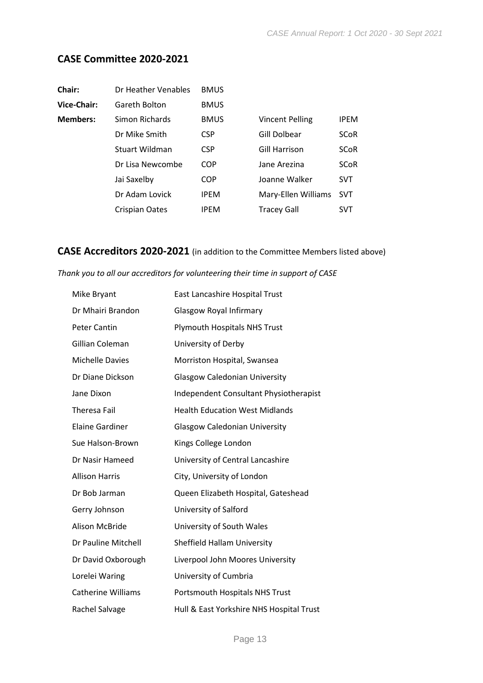# <span id="page-13-0"></span>**CASE Committee 2020-2021**

| Dr Heather Venables   | <b>BMUS</b> |                        |             |
|-----------------------|-------------|------------------------|-------------|
| Gareth Bolton         | <b>BMUS</b> |                        |             |
| Simon Richards        | <b>BMUS</b> | <b>Vincent Pelling</b> | <b>IPEM</b> |
| Dr Mike Smith         | <b>CSP</b>  | Gill Dolbear           | <b>SCoR</b> |
| <b>Stuart Wildman</b> | <b>CSP</b>  | <b>Gill Harrison</b>   | <b>SCoR</b> |
| Dr Lisa Newcombe      | <b>COP</b>  | Jane Arezina           | <b>SCoR</b> |
| Jai Saxelby           | <b>COP</b>  | Joanne Walker          | <b>SVT</b>  |
| Dr Adam Lovick        | <b>IPEM</b> | Mary-Ellen Williams    | <b>SVT</b>  |
| <b>Crispian Oates</b> | <b>IPEM</b> | <b>Tracey Gall</b>     | <b>SVT</b>  |
|                       |             |                        |             |

# <span id="page-13-1"></span>**CASE Accreditors 2020-2021** (in addition to the Committee Members listed above)

#### *Thank you to all our accreditors for volunteering their time in support of CASE*

| Mike Bryant               | East Lancashire Hospital Trust                |
|---------------------------|-----------------------------------------------|
| Dr Mhairi Brandon         | <b>Glasgow Royal Infirmary</b>                |
| <b>Peter Cantin</b>       | <b>Plymouth Hospitals NHS Trust</b>           |
| Gillian Coleman           | University of Derby                           |
| <b>Michelle Davies</b>    | Morriston Hospital, Swansea                   |
| Dr Diane Dickson          | <b>Glasgow Caledonian University</b>          |
| Jane Dixon                | <b>Independent Consultant Physiotherapist</b> |
| <b>Theresa Fail</b>       | <b>Health Education West Midlands</b>         |
| <b>Elaine Gardiner</b>    | <b>Glasgow Caledonian University</b>          |
| Sue Halson-Brown          | Kings College London                          |
| Dr Nasir Hameed           | University of Central Lancashire              |
| <b>Allison Harris</b>     | City, University of London                    |
| Dr Bob Jarman             | Queen Elizabeth Hospital, Gateshead           |
| Gerry Johnson             | University of Salford                         |
| Alison McBride            | University of South Wales                     |
| Dr Pauline Mitchell       | <b>Sheffield Hallam University</b>            |
| Dr David Oxborough        | Liverpool John Moores University              |
| Lorelei Waring            | University of Cumbria                         |
| <b>Catherine Williams</b> | Portsmouth Hospitals NHS Trust                |
| Rachel Salvage            | Hull & East Yorkshire NHS Hospital Trust      |